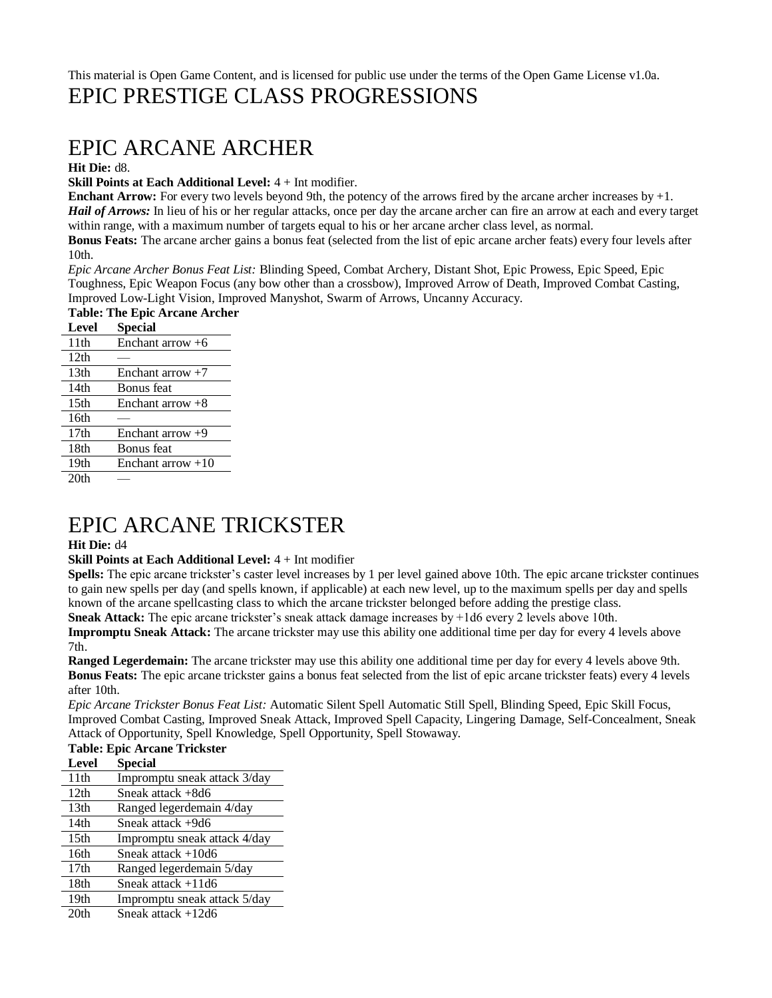### This material is Open Game Content, and is licensed for public use under the terms of the Open Game License v1.0a. EPIC PRESTIGE CLASS PROGRESSIONS

## EPIC ARCANE ARCHER

**Hit Die:** d8.

**Skill Points at Each Additional Level:** 4 + Int modifier.

**Enchant Arrow:** For every two levels beyond 9th, the potency of the arrows fired by the arcane archer increases by  $+1$ . *Hail of Arrows:* In lieu of his or her regular attacks, once per day the arcane archer can fire an arrow at each and every target within range, with a maximum number of targets equal to his or her arcane archer class level, as normal.

**Bonus Feats:** The arcane archer gains a bonus feat (selected from the list of epic arcane archer feats) every four levels after 10th.

*Epic Arcane Archer Bonus Feat List:* Blinding Speed, Combat Archery, Distant Shot, Epic Prowess, Epic Speed, Epic Toughness, Epic Weapon Focus (any bow other than a crossbow), Improved Arrow of Death, Improved Combat Casting, Improved Low-Light Vision, Improved Manyshot, Swarm of Arrows, Uncanny Accuracy.

| <b>Table: The Epic Arcane Archer</b> |                     |  |
|--------------------------------------|---------------------|--|
| <b>Level</b>                         | Special             |  |
| 11th                                 | Enchant arrow $+6$  |  |
| 12 <sub>th</sub>                     |                     |  |
| 13 <sub>th</sub>                     | Enchant arrow $+7$  |  |
| 14th                                 | Bonus feat          |  |
| 15 <sub>th</sub>                     | Enchant arrow $+8$  |  |
| 16th                                 |                     |  |
| 17th                                 | Enchant arrow $+9$  |  |
| 18th                                 | Bonus feat          |  |
| 19th                                 | Enchant arrow $+10$ |  |
| 20 <sub>th</sub>                     |                     |  |

## EPIC ARCANE TRICKSTER

### **Hit Die:** d4

### **Skill Points at Each Additional Level:** 4 + Int modifier

**Spells:** The epic arcane trickster's caster level increases by 1 per level gained above 10th. The epic arcane trickster continues to gain new spells per day (and spells known, if applicable) at each new level, up to the maximum spells per day and spells known of the arcane spellcasting class to which the arcane trickster belonged before adding the prestige class. **Sneak Attack:** The epic arcane trickster's sneak attack damage increases by +1d6 every 2 levels above 10th.

**Impromptu Sneak Attack:** The arcane trickster may use this ability one additional time per day for every 4 levels above 7th.

**Ranged Legerdemain:** The arcane trickster may use this ability one additional time per day for every 4 levels above 9th. **Bonus Feats:** The epic arcane trickster gains a bonus feat selected from the list of epic arcane trickster feats) every 4 levels after 10th.

*Epic Arcane Trickster Bonus Feat List:* Automatic Silent Spell Automatic Still Spell, Blinding Speed, Epic Skill Focus, Improved Combat Casting, Improved Sneak Attack, Improved Spell Capacity, Lingering Damage, Self-Concealment, Sneak Attack of Opportunity, Spell Knowledge, Spell Opportunity, Spell Stowaway.

| <b>Table: Epic Arcane Trickster</b> |                              |
|-------------------------------------|------------------------------|
| <b>Level</b>                        | <b>Special</b>               |
| 11 <sup>th</sup>                    | Impromptu sneak attack 3/day |
| 12 <sub>th</sub>                    | Sneak attack +8d6            |
| 13 <sub>th</sub>                    | Ranged legerdemain 4/day     |
| 14 <sub>th</sub>                    | Sneak attack +9d6            |
| 15 <sub>th</sub>                    | Impromptu sneak attack 4/day |
| 16th                                | Sneak attack $+10d6$         |
| 17 <sub>th</sub>                    | Ranged legerdemain 5/day     |
| 18th                                | Sneak attack $+11d6$         |
| 19 <sub>th</sub>                    | Impromptu sneak attack 5/day |
| 20 <sub>th</sub>                    | Sneak attack +12d6           |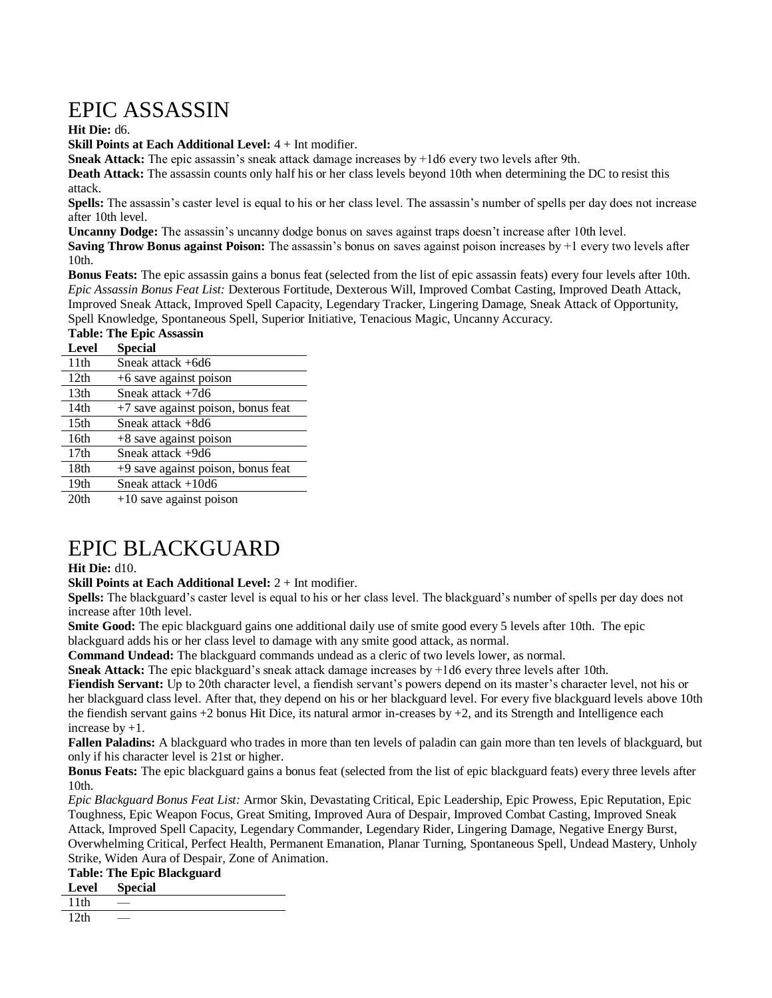# EPIC ASSASSIN

**Hit Die:** d6.

**Skill Points at Each Additional Level:** 4 + Int modifier.

**Sneak Attack:** The epic assassin's sneak attack damage increases by +1d6 every two levels after 9th.

**Death Attack:** The assassin counts only half his or her class levels beyond 10th when determining the DC to resist this attack.

**Spells:** The assassin's caster level is equal to his or her class level. The assassin's number of spells per day does not increase after 10th level.

**Uncanny Dodge:** The assassin's uncanny dodge bonus on saves against traps doesn't increase after 10th level.

**Saving Throw Bonus against Poison:** The assassin's bonus on saves against poison increases by +1 every two levels after 10th.

**Bonus Feats:** The epic assassin gains a bonus feat (selected from the list of epic assassin feats) every four levels after 10th. *Epic Assassin Bonus Feat List:* Dexterous Fortitude, Dexterous Will, Improved Combat Casting, Improved Death Attack, Improved Sneak Attack, Improved Spell Capacity, Legendary Tracker, Lingering Damage, Sneak Attack of Opportunity, Spell Knowledge, Spontaneous Spell, Superior Initiative, Tenacious Magic, Uncanny Accuracy.

### **Table: The Epic Assassin**

| <b>Level</b>     | <b>Special</b>                       |
|------------------|--------------------------------------|
| 11th             | Sneak attack +6d6                    |
| 12th             | $+6$ save against poison             |
| 13 <sub>th</sub> | Sneak attack $+7d6$                  |
| 14th             | +7 save against poison, bonus feat   |
| 15 <sub>th</sub> | Sneak attack +8d6                    |
| 16th             | $+8$ save against poison             |
| 17 <sub>th</sub> | Sneak attack +9d6                    |
| 18th             | $+9$ save against poison, bonus feat |
| 19th             | Sneak attack $+10d6$                 |
| 20th             | $10$ cava against poison             |

20th +10 save against poison

## EPIC BLACKGUARD

### **Hit Die:** d10.

**Skill Points at Each Additional Level:** 2 + Int modifier.

**Spells:** The blackguard's caster level is equal to his or her class level. The blackguard's number of spells per day does not increase after 10th level.

**Smite Good:** The epic blackguard gains one additional daily use of smite good every 5 levels after 10th. The epic blackguard adds his or her class level to damage with any smite good attack, as normal.

**Command Undead:** The blackguard commands undead as a cleric of two levels lower, as normal.

**Sneak Attack:** The epic blackguard's sneak attack damage increases by +1d6 every three levels after 10th.

**Fiendish Servant:** Up to 20th character level, a fiendish servant's powers depend on its master's character level, not his or her blackguard class level. After that, they depend on his or her blackguard level. For every five blackguard levels above 10th the fiendish servant gains +2 bonus Hit Dice, its natural armor in-creases by +2, and its Strength and Intelligence each increase by +1.

**Fallen Paladins:** A blackguard who trades in more than ten levels of paladin can gain more than ten levels of blackguard, but only if his character level is 21st or higher.

**Bonus Feats:** The epic blackguard gains a bonus feat (selected from the list of epic blackguard feats) every three levels after 10th.

*Epic Blackguard Bonus Feat List:* Armor Skin, Devastating Critical, Epic Leadership, Epic Prowess, Epic Reputation, Epic Toughness, Epic Weapon Focus, Great Smiting, Improved Aura of Despair, Improved Combat Casting, Improved Sneak Attack, Improved Spell Capacity, Legendary Commander, Legendary Rider, Lingering Damage, Negative Energy Burst, Overwhelming Critical, Perfect Health, Permanent Emanation, Planar Turning, Spontaneous Spell, Undead Mastery, Unholy Strike, Widen Aura of Despair, Zone of Animation.

### **Table: The Epic Blackguard**

### **Level Special**

 $11th$ 

 $12th$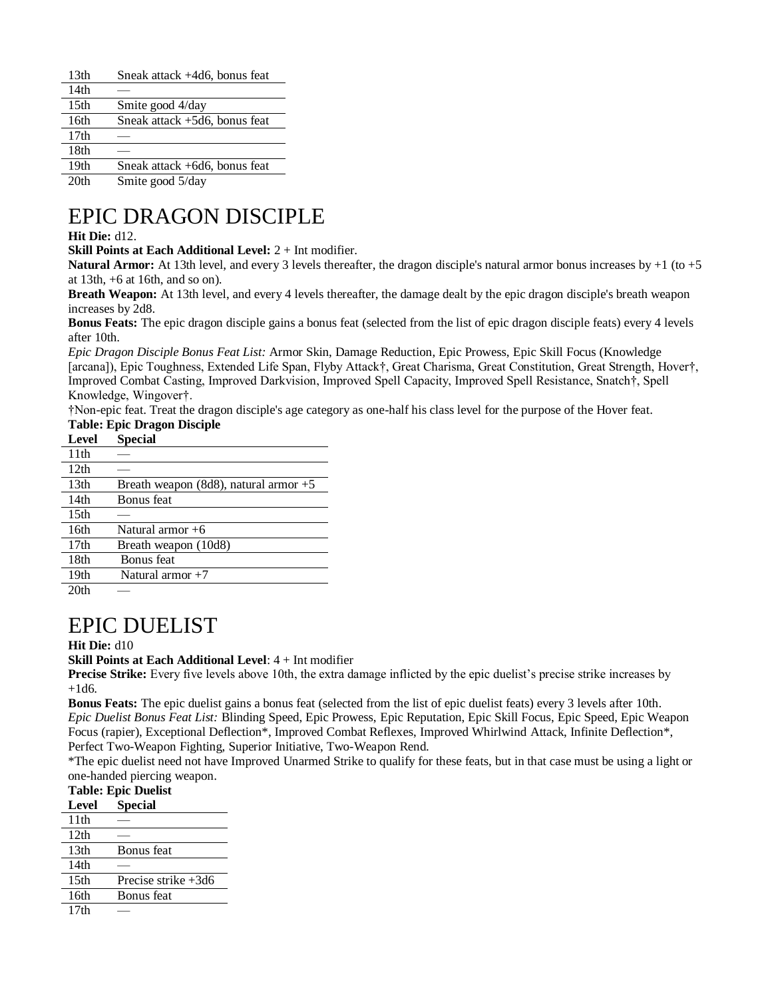| 13 <sub>th</sub> | Sneak attack +4d6, bonus feat    |
|------------------|----------------------------------|
| 14th             |                                  |
| 15 <sub>th</sub> | Smite good 4/day                 |
| 16th             | Sneak attack $+5d6$ , bonus feat |
| 17 <sub>th</sub> |                                  |
| 18th             |                                  |
| 19th             | Sneak attack +6d6, bonus feat    |
| 20th             | Smite good 5/day                 |

## EPIC DRAGON DISCIPLE

### **Hit Die:** d12.

**Skill Points at Each Additional Level:** 2 + Int modifier.

**Natural Armor:** At 13th level, and every 3 levels thereafter, the dragon disciple's natural armor bonus increases by +1 (to +5) at 13th,  $+6$  at 16th, and so on).

**Breath Weapon:** At 13th level, and every 4 levels thereafter, the damage dealt by the epic dragon disciple's breath weapon increases by 2d8.

**Bonus Feats:** The epic dragon disciple gains a bonus feat (selected from the list of epic dragon disciple feats) every 4 levels after 10th.

*Epic Dragon Disciple Bonus Feat List:* Armor Skin, Damage Reduction, Epic Prowess, Epic Skill Focus (Knowledge [arcana]), Epic Toughness, Extended Life Span, Flyby Attack†, Great Charisma, Great Constitution, Great Strength, Hover†, Improved Combat Casting, Improved Darkvision, Improved Spell Capacity, Improved Spell Resistance, Snatch†, Spell Knowledge, Wingover†.

†Non-epic feat. Treat the dragon disciple's age category as one-half his class level for the purpose of the Hover feat.

### **Table: Epic Dragon Disciple**

| <b>Level</b>     | Special                                 |
|------------------|-----------------------------------------|
| 11 <sup>th</sup> |                                         |
| 12 <sub>th</sub> |                                         |
| 13 <sub>th</sub> | Breath weapon (8d8), natural armor $+5$ |
| 14th             | <b>Bonus</b> feat                       |
| 15 <sub>th</sub> |                                         |
| 16 <sub>th</sub> | Natural armor $+6$                      |
| 17 <sub>th</sub> | Breath weapon (10d8)                    |
| 18th             | <b>Bonus</b> feat                       |
| 19 <sub>th</sub> | Natural armor $+7$                      |
| 20th             |                                         |

 $20th$ 

## EPIC DUELIST

### **Hit Die:** d10

**Skill Points at Each Additional Level**: 4 + Int modifier

**Precise Strike:** Every five levels above 10th, the extra damage inflicted by the epic duelist's precise strike increases by  $+1d6.$ 

**Bonus Feats:** The epic duelist gains a bonus feat (selected from the list of epic duelist feats) every 3 levels after 10th. *Epic Duelist Bonus Feat List:* Blinding Speed, Epic Prowess, Epic Reputation, Epic Skill Focus, Epic Speed, Epic Weapon Focus (rapier), Exceptional Deflection\*, Improved Combat Reflexes, Improved Whirlwind Attack, Infinite Deflection\*, Perfect Two-Weapon Fighting, Superior Initiative, Two-Weapon Rend.

\*The epic duelist need not have Improved Unarmed Strike to qualify for these feats, but in that case must be using a light or one-handed piercing weapon.

### **Table: Epic Duelist**

| таріс, пріс писны |                       |  |
|-------------------|-----------------------|--|
| Level             | <b>Special</b>        |  |
| 11th              |                       |  |
| 12th              |                       |  |
| 13 <sub>th</sub>  | Bonus feat            |  |
| 14th              |                       |  |
| 15 <sub>th</sub>  | Precise strike $+3d6$ |  |
| 16th              | Bonus feat            |  |
| 17 <sub>th</sub>  |                       |  |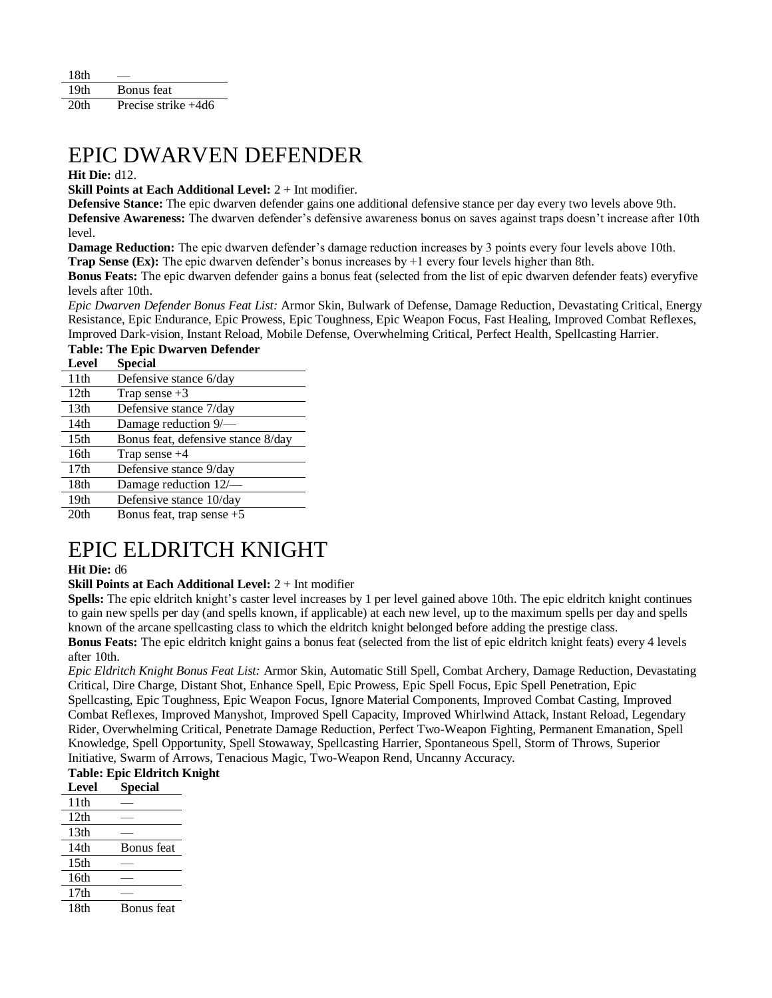| 18th             |                     |
|------------------|---------------------|
| 19th             | Bonus feat          |
| 20 <sup>th</sup> | Precise strike +4d6 |

## EPIC DWARVEN DEFENDER

### **Hit Die:** d12.

**Skill Points at Each Additional Level:** 2 + Int modifier.

**Defensive Stance:** The epic dwarven defender gains one additional defensive stance per day every two levels above 9th. **Defensive Awareness:** The dwarven defender's defensive awareness bonus on saves against traps doesn't increase after 10th level.

**Damage Reduction:** The epic dwarven defender's damage reduction increases by 3 points every four levels above 10th. **Trap Sense (Ex):** The epic dwarven defender's bonus increases by +1 every four levels higher than 8th.

**Bonus Feats:** The epic dwarven defender gains a bonus feat (selected from the list of epic dwarven defender feats) everyfive levels after 10th.

*Epic Dwarven Defender Bonus Feat List:* Armor Skin, Bulwark of Defense, Damage Reduction, Devastating Critical, Energy Resistance, Epic Endurance, Epic Prowess, Epic Toughness, Epic Weapon Focus, Fast Healing, Improved Combat Reflexes, Improved Dark-vision, Instant Reload, Mobile Defense, Overwhelming Critical, Perfect Health, Spellcasting Harrier. **Table: The Epic Dwarven Defender** 

| Level            | <b>Special</b>                     |
|------------------|------------------------------------|
| 11 <sup>th</sup> | Defensive stance 6/day             |
| 12th             | Trap sense $+3$                    |
| 13 <sub>th</sub> | Defensive stance 7/day             |
| 14th             | Damage reduction 9/-               |
| 15 <sub>th</sub> | Bonus feat, defensive stance 8/day |
| 16th             | Trap sense $+4$                    |
| 17th             | Defensive stance 9/day             |
| 18th             | Damage reduction 12/-              |
| 19 <sub>th</sub> | Defensive stance 10/day            |
| 20 <sub>th</sub> | Bonus feat, trap sense $+5$        |

## EPIC ELDRITCH KNIGHT

### **Hit Die:** d6

### **Skill Points at Each Additional Level:** 2 + Int modifier

**Spells:** The epic eldritch knight's caster level increases by 1 per level gained above 10th. The epic eldritch knight continues to gain new spells per day (and spells known, if applicable) at each new level, up to the maximum spells per day and spells known of the arcane spellcasting class to which the eldritch knight belonged before adding the prestige class.

**Bonus Feats:** The epic eldritch knight gains a bonus feat (selected from the list of epic eldritch knight feats) every 4 levels after 10th.

*Epic Eldritch Knight Bonus Feat List:* Armor Skin, Automatic Still Spell, Combat Archery, Damage Reduction, Devastating Critical, Dire Charge, Distant Shot, Enhance Spell, Epic Prowess, Epic Spell Focus, Epic Spell Penetration, Epic Spellcasting, Epic Toughness, Epic Weapon Focus, Ignore Material Components, Improved Combat Casting, Improved Combat Reflexes, Improved Manyshot, Improved Spell Capacity, Improved Whirlwind Attack, Instant Reload, Legendary Rider, Overwhelming Critical, Penetrate Damage Reduction, Perfect Two-Weapon Fighting, Permanent Emanation, Spell Knowledge, Spell Opportunity, Spell Stowaway, Spellcasting Harrier, Spontaneous Spell, Storm of Throws, Superior Initiative, Swarm of Arrows, Tenacious Magic, Two-Weapon Rend, Uncanny Accuracy.

### **Table: Epic Eldritch Knight**

| <b>Level</b>     | <b>Special</b> |
|------------------|----------------|
| 11 <sup>th</sup> |                |
| 12th             |                |
| 13 <sub>th</sub> |                |
| 14 <sub>th</sub> | Bonus feat     |
| 15 <sub>th</sub> |                |
| 16th             |                |
| 17th             |                |
| 18th             | Bonus feat     |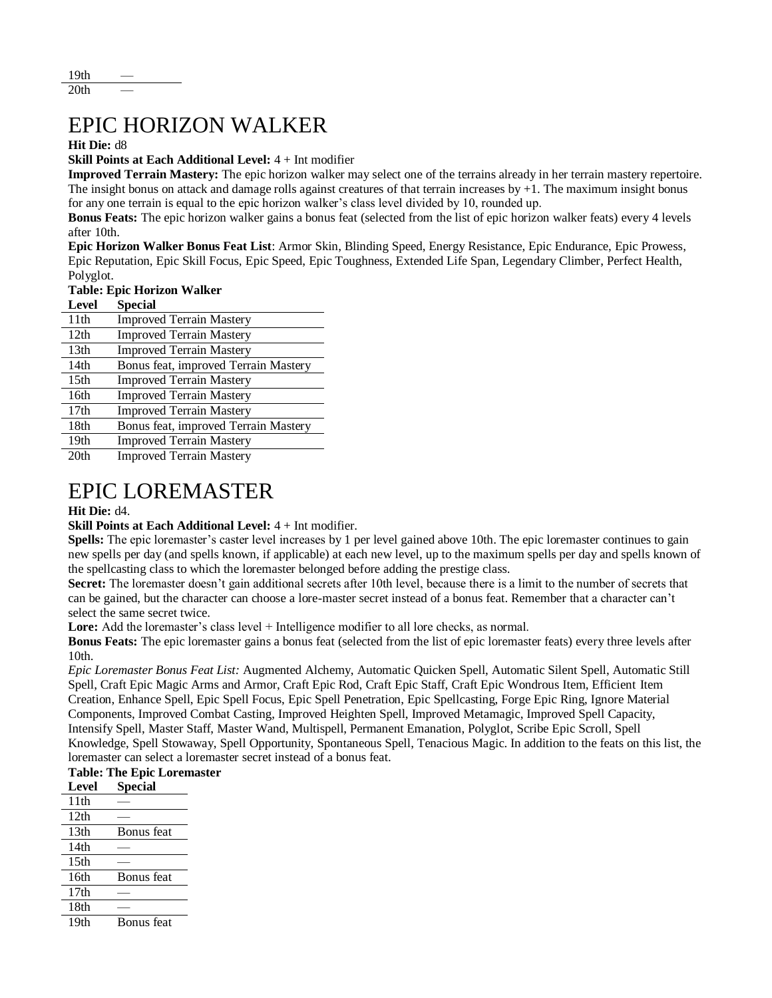## EPIC HORIZON WALKER

### **Hit Die:** d8

**Skill Points at Each Additional Level:** 4 + Int modifier

**Improved Terrain Mastery:** The epic horizon walker may select one of the terrains already in her terrain mastery repertoire. The insight bonus on attack and damage rolls against creatures of that terrain increases by  $+1$ . The maximum insight bonus for any one terrain is equal to the epic horizon walker's class level divided by 10, rounded up.

**Bonus Feats:** The epic horizon walker gains a bonus feat (selected from the list of epic horizon walker feats) every 4 levels after 10th.

**Epic Horizon Walker Bonus Feat List**: Armor Skin, Blinding Speed, Energy Resistance, Epic Endurance, Epic Prowess, Epic Reputation, Epic Skill Focus, Epic Speed, Epic Toughness, Extended Life Span, Legendary Climber, Perfect Health, Polyglot.

**Table: Epic Horizon Walker**

| <b>Level</b>     | <b>Special</b>                       |
|------------------|--------------------------------------|
| 11 <sup>th</sup> | <b>Improved Terrain Mastery</b>      |
| 12th             | <b>Improved Terrain Mastery</b>      |
| 13 <sub>th</sub> | <b>Improved Terrain Mastery</b>      |
| 14th             | Bonus feat, improved Terrain Mastery |
| 15 <sub>th</sub> | <b>Improved Terrain Mastery</b>      |
| 16th             | <b>Improved Terrain Mastery</b>      |
| 17 <sub>th</sub> | <b>Improved Terrain Mastery</b>      |
| 18 <sub>th</sub> | Bonus feat, improved Terrain Mastery |
| 19 <sub>th</sub> | <b>Improved Terrain Mastery</b>      |
| 20 <sub>th</sub> | <b>Improved Terrain Mastery</b>      |

## EPIC LOREMASTER

### **Hit Die:** d4.

### **Skill Points at Each Additional Level:** 4 + Int modifier.

**Spells:** The epic loremaster's caster level increases by 1 per level gained above 10th. The epic loremaster continues to gain new spells per day (and spells known, if applicable) at each new level, up to the maximum spells per day and spells known of the spellcasting class to which the loremaster belonged before adding the prestige class.

**Secret:** The loremaster doesn't gain additional secrets after 10th level, because there is a limit to the number of secrets that can be gained, but the character can choose a lore-master secret instead of a bonus feat. Remember that a character can't select the same secret twice.

**Lore:** Add the loremaster's class level + Intelligence modifier to all lore checks, as normal.

**Bonus Feats:** The epic loremaster gains a bonus feat (selected from the list of epic loremaster feats) every three levels after 10th.

*Epic Loremaster Bonus Feat List:* Augmented Alchemy, Automatic Quicken Spell, Automatic Silent Spell, Automatic Still Spell, Craft Epic Magic Arms and Armor, Craft Epic Rod, Craft Epic Staff, Craft Epic Wondrous Item, Efficient Item Creation, Enhance Spell, Epic Spell Focus, Epic Spell Penetration, Epic Spellcasting, Forge Epic Ring, Ignore Material Components, Improved Combat Casting, Improved Heighten Spell, Improved Metamagic, Improved Spell Capacity, Intensify Spell, Master Staff, Master Wand, Multispell, Permanent Emanation, Polyglot, Scribe Epic Scroll, Spell Knowledge, Spell Stowaway, Spell Opportunity, Spontaneous Spell, Tenacious Magic. In addition to the feats on this list, the loremaster can select a loremaster secret instead of a bonus feat.

### **Table: The Epic Loremaster**

| <b>Level</b>          | <b>Special</b>    |
|-----------------------|-------------------|
| 11th                  |                   |
| 12th                  |                   |
| 13 <sub>th</sub>      | <b>Bonus</b> feat |
| 14th                  |                   |
| 15 <sub>th</sub>      |                   |
| 16th                  | <b>Bonus</b> feat |
| 17th                  |                   |
| 18th                  |                   |
| $1^{\prime}$ $\Omega$ | $\sim$            |

19th Bonus feat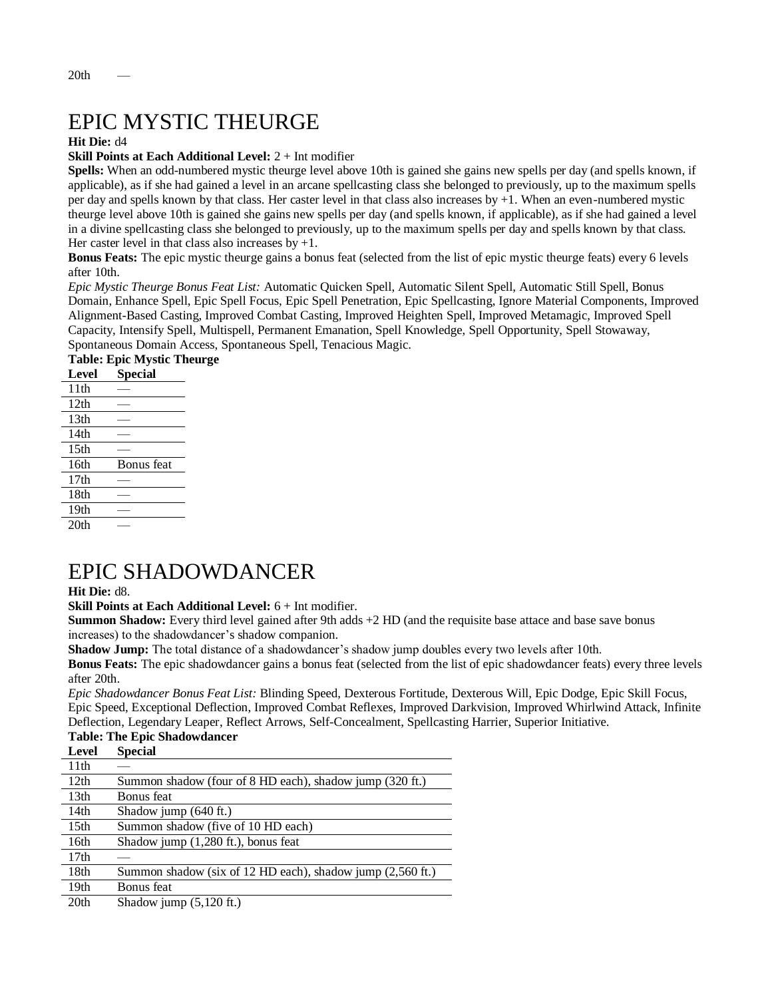# EPIC MYSTIC THEURGE

### **Hit Die:** d4

### **Skill Points at Each Additional Level:** 2 + Int modifier

**Spells:** When an odd-numbered mystic theurge level above 10th is gained she gains new spells per day (and spells known, if applicable), as if she had gained a level in an arcane spellcasting class she belonged to previously, up to the maximum spells per day and spells known by that class. Her caster level in that class also increases by +1. When an even-numbered mystic theurge level above 10th is gained she gains new spells per day (and spells known, if applicable), as if she had gained a level in a divine spellcasting class she belonged to previously, up to the maximum spells per day and spells known by that class. Her caster level in that class also increases by  $+1$ .

**Bonus Feats:** The epic mystic theurge gains a bonus feat (selected from the list of epic mystic theurge feats) every 6 levels after 10th.

*Epic Mystic Theurge Bonus Feat List:* Automatic Quicken Spell, Automatic Silent Spell, Automatic Still Spell, Bonus Domain, Enhance Spell, Epic Spell Focus, Epic Spell Penetration, Epic Spellcasting, Ignore Material Components, Improved Alignment-Based Casting, Improved Combat Casting, Improved Heighten Spell, Improved Metamagic, Improved Spell Capacity, Intensify Spell, Multispell, Permanent Emanation, Spell Knowledge, Spell Opportunity, Spell Stowaway, Spontaneous Domain Access, Spontaneous Spell, Tenacious Magic.

### **Table: Epic Mystic Theurge**

| Level            | <b>Special</b> |
|------------------|----------------|
| 11th             |                |
| 12th             |                |
| 13th             |                |
| 14th             |                |
| 15 <sub>th</sub> |                |
| 16th             | Bonus feat     |
| 17th             |                |
| 18th             |                |
| 19 <sub>th</sub> |                |
| 20th             |                |

## EPIC SHADOWDANCER

**Hit Die:** d8.

**Skill Points at Each Additional Level:** 6 + Int modifier.

**Summon Shadow:** Every third level gained after 9th adds +2 HD (and the requisite base attace and base save bonus increases) to the shadowdancer's shadow companion.

**Shadow Jump:** The total distance of a shadowdancer's shadow jump doubles every two levels after 10th.

**Bonus Feats:** The epic shadowdancer gains a bonus feat (selected from the list of epic shadowdancer feats) every three levels after 20th.

*Epic Shadowdancer Bonus Feat List:* Blinding Speed, Dexterous Fortitude, Dexterous Will, Epic Dodge, Epic Skill Focus, Epic Speed, Exceptional Deflection, Improved Combat Reflexes, Improved Darkvision, Improved Whirlwind Attack, Infinite Deflection, Legendary Leaper, Reflect Arrows, Self-Concealment, Spellcasting Harrier, Superior Initiative.

#### **Table: The Epic Shadowdancer**   $\mathbf{C}$

| Level            | Special                                                    |
|------------------|------------------------------------------------------------|
| 11th             |                                                            |
| 12th             | Summon shadow (four of 8 HD each), shadow jump (320 ft.)   |
| 13 <sub>th</sub> | <b>Bonus</b> feat                                          |
| 14th             | Shadow jump $(640 \text{ ft.})$                            |
| 15 <sup>th</sup> | Summon shadow (five of 10 HD each)                         |
| 16th             | Shadow jump (1,280 ft.), bonus feat                        |
| 17 <sub>th</sub> |                                                            |
| 18 <sub>th</sub> | Summon shadow (six of 12 HD each), shadow jump (2,560 ft.) |
| 19 <sub>th</sub> | <b>Bonus</b> feat                                          |
| 20 <sub>th</sub> | Shadow jump $(5,120 \text{ ft.})$                          |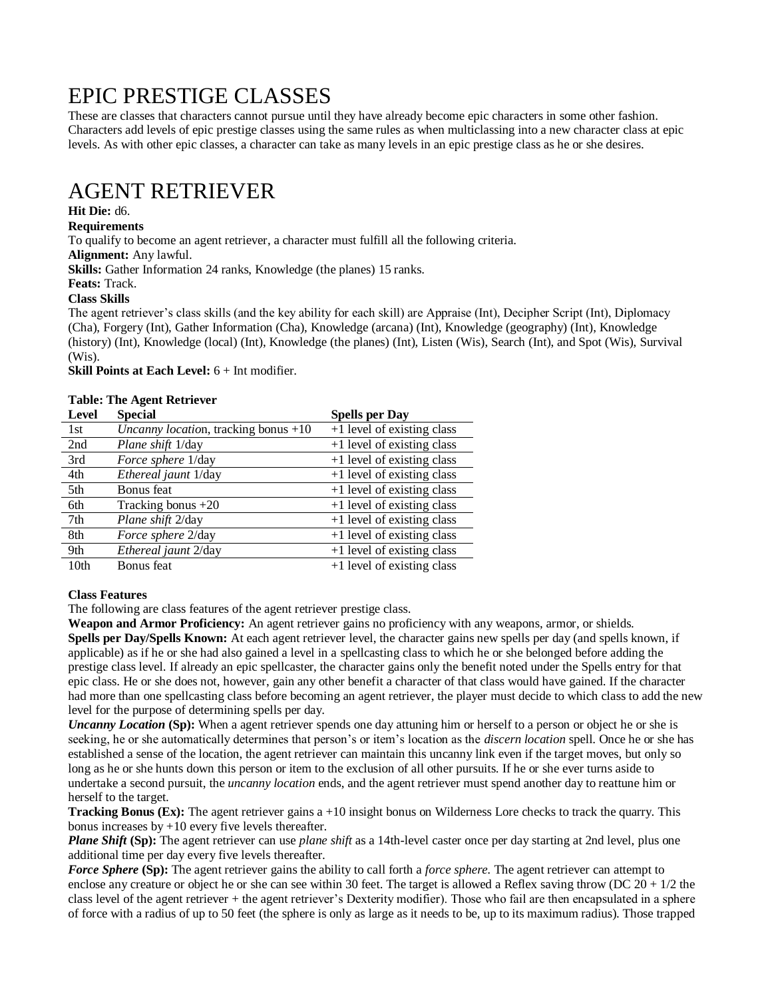## EPIC PRESTIGE CLASSES

These are classes that characters cannot pursue until they have already become epic characters in some other fashion. Characters add levels of epic prestige classes using the same rules as when multiclassing into a new character class at epic levels. As with other epic classes, a character can take as many levels in an epic prestige class as he or she desires.

## AGENT RETRIEVER

### **Hit Die:** d6.

### **Requirements**

To qualify to become an agent retriever, a character must fulfill all the following criteria.

**Alignment:** Any lawful.

**Skills:** Gather Information 24 ranks, Knowledge (the planes) 15 ranks.

### **Feats:** Track.

**Class Skills**

The agent retriever's class skills (and the key ability for each skill) are Appraise (Int), Decipher Script (Int), Diplomacy (Cha), Forgery (Int), Gather Information (Cha), Knowledge (arcana) (Int), Knowledge (geography) (Int), Knowledge (history) (Int), Knowledge (local) (Int), Knowledge (the planes) (Int), Listen (Wis), Search (Int), and Spot (Wis), Survival (Wis).

**Skill Points at Each Level:** 6 + Int modifier.

### **Table: The Agent Retriever**

| <b>Level</b>     | <b>Special</b>                         | <b>Spells per Day</b>        |
|------------------|----------------------------------------|------------------------------|
| 1st              | Uncanny location, tracking bonus $+10$ | +1 level of existing class   |
| 2nd              | Plane shift 1/day                      | +1 level of existing class   |
| 3rd              | Force sphere 1/day                     | +1 level of existing class   |
| 4th              | Ethereal jaunt 1/day                   | +1 level of existing class   |
| 5th              | Bonus feat                             | +1 level of existing class   |
| 6th              | Tracking bonus $+20$                   | $+1$ level of existing class |
| 7th              | Plane shift 2/day                      | +1 level of existing class   |
| 8th              | Force sphere 2/day                     | $+1$ level of existing class |
| 9th              | Ethereal jaunt 2/day                   | +1 level of existing class   |
| 10 <sub>th</sub> | Bonus feat                             | +1 level of existing class   |

### **Class Features**

The following are class features of the agent retriever prestige class.

**Weapon and Armor Proficiency:** An agent retriever gains no proficiency with any weapons, armor, or shields. **Spells per Day/Spells Known:** At each agent retriever level, the character gains new spells per day (and spells known, if applicable) as if he or she had also gained a level in a spellcasting class to which he or she belonged before adding the prestige class level. If already an epic spellcaster, the character gains only the benefit noted under the Spells entry for that epic class. He or she does not, however, gain any other benefit a character of that class would have gained. If the character had more than one spellcasting class before becoming an agent retriever, the player must decide to which class to add the new level for the purpose of determining spells per day.

*Uncanny Location* (Sp): When a agent retriever spends one day attuning him or herself to a person or object he or she is seeking, he or she automatically determines that person's or item's location as the *discern location* spell. Once he or she has established a sense of the location, the agent retriever can maintain this uncanny link even if the target moves, but only so long as he or she hunts down this person or item to the exclusion of all other pursuits. If he or she ever turns aside to undertake a second pursuit, the *uncanny location* ends, and the agent retriever must spend another day to reattune him or herself to the target.

**Tracking Bonus (Ex):** The agent retriever gains a +10 insight bonus on Wilderness Lore checks to track the quarry. This bonus increases by  $+10$  every five levels thereafter.

*Plane Shift* (Sp): The agent retriever can use *plane shift* as a 14th-level caster once per day starting at 2nd level, plus one additional time per day every five levels thereafter.

*Force Sphere* **(Sp):** The agent retriever gains the ability to call forth a *force sphere.* The agent retriever can attempt to enclose any creature or object he or she can see within 30 feet. The target is allowed a Reflex saving throw (DC  $20 + 1/2$  the class level of the agent retriever + the agent retriever's Dexterity modifier). Those who fail are then encapsulated in a sphere of force with a radius of up to 50 feet (the sphere is only as large as it needs to be, up to its maximum radius). Those trapped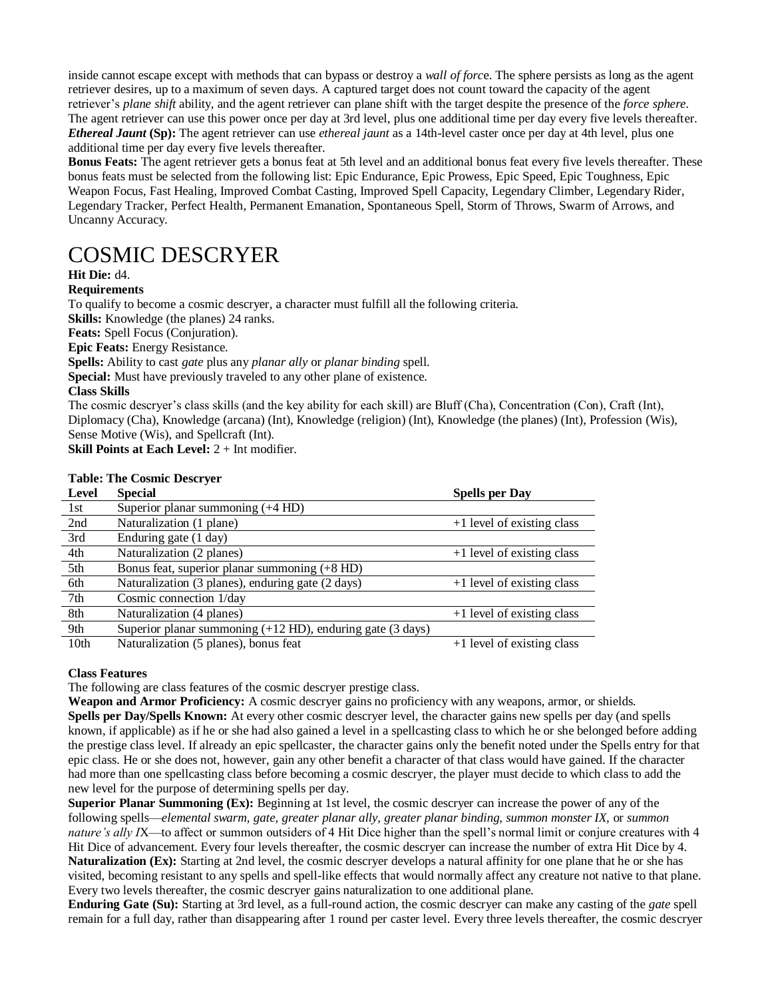inside cannot escape except with methods that can bypass or destroy a *wall of forc*e. The sphere persists as long as the agent retriever desires, up to a maximum of seven days. A captured target does not count toward the capacity of the agent retriever's *plane shift* ability, and the agent retriever can plane shift with the target despite the presence of the *force sphere.*  The agent retriever can use this power once per day at 3rd level, plus one additional time per day every five levels thereafter. *Ethereal Jaunt* **(Sp):** The agent retriever can use *ethereal jaunt* as a 14th-level caster once per day at 4th level, plus one additional time per day every five levels thereafter.

**Bonus Feats:** The agent retriever gets a bonus feat at 5th level and an additional bonus feat every five levels thereafter. These bonus feats must be selected from the following list: Epic Endurance, Epic Prowess, Epic Speed, Epic Toughness, Epic Weapon Focus, Fast Healing, Improved Combat Casting, Improved Spell Capacity, Legendary Climber, Legendary Rider, Legendary Tracker, Perfect Health, Permanent Emanation, Spontaneous Spell, Storm of Throws, Swarm of Arrows, and Uncanny Accuracy.

## COSMIC DESCRYER

### **Hit Die:** d4.

### **Requirements**

To qualify to become a cosmic descryer, a character must fulfill all the following criteria.

**Skills:** Knowledge (the planes) 24 ranks.

**Feats:** Spell Focus (Conjuration).

**Epic Feats:** Energy Resistance.

**Spells:** Ability to cast *gate* plus any *planar ally* or *planar binding* spell*.*

**Special:** Must have previously traveled to any other plane of existence.

### **Class Skills**

The cosmic descryer's class skills (and the key ability for each skill) are Bluff (Cha), Concentration (Con), Craft (Int), Diplomacy (Cha), Knowledge (arcana) (Int), Knowledge (religion) (Int), Knowledge (the planes) (Int), Profession (Wis), Sense Motive (Wis), and Spellcraft (Int).

**Skill Points at Each Level:**  $2 + Int$  modifier.

### **Table: The Cosmic Descryer**

| Level            | <b>Special</b>                                                                  | <b>Spells per Day</b>        |
|------------------|---------------------------------------------------------------------------------|------------------------------|
| 1st              | Superior planar summoning $(+4 \text{ HD})$                                     |                              |
| 2nd              | Naturalization (1 plane)                                                        | $+1$ level of existing class |
| 3rd              | Enduring gate (1 day)                                                           |                              |
| 4th              | Naturalization (2 planes)                                                       | $+1$ level of existing class |
| 5th              | Bonus feat, superior planar summoning (+8 HD)                                   |                              |
| 6th              | Naturalization (3 planes), enduring gate (2 days)                               | $+1$ level of existing class |
| 7th              | Cosmic connection 1/day                                                         |                              |
| 8th              | Naturalization (4 planes)                                                       | $+1$ level of existing class |
| 9th              | Superior planar summoning $(+12 \text{ HD})$ , enduring gate $(3 \text{ days})$ |                              |
| 10 <sub>th</sub> | Naturalization (5 planes), bonus feat                                           | $+1$ level of existing class |

### **Class Features**

The following are class features of the cosmic descryer prestige class.

**Weapon and Armor Proficiency:** A cosmic descryer gains no proficiency with any weapons, armor, or shields. **Spells per Day/Spells Known:** At every other cosmic descryer level, the character gains new spells per day (and spells known, if applicable) as if he or she had also gained a level in a spellcasting class to which he or she belonged before adding the prestige class level. If already an epic spellcaster, the character gains only the benefit noted under the Spells entry for that epic class. He or she does not, however, gain any other benefit a character of that class would have gained. If the character had more than one spellcasting class before becoming a cosmic descryer, the player must decide to which class to add the new level for the purpose of determining spells per day.

**Superior Planar Summoning (Ex):** Beginning at 1st level, the cosmic descryer can increase the power of any of the following spells—*elemental swarm, gate, greater planar ally, greater planar binding, summon monster IX,* or *summon nature's ally I*X—to affect or summon outsiders of 4 Hit Dice higher than the spell's normal limit or conjure creatures with 4 Hit Dice of advancement. Every four levels thereafter, the cosmic descryer can increase the number of extra Hit Dice by 4. **Naturalization (Ex):** Starting at 2nd level, the cosmic descryer develops a natural affinity for one plane that he or she has visited, becoming resistant to any spells and spell-like effects that would normally affect any creature not native to that plane. Every two levels thereafter, the cosmic descryer gains naturalization to one additional plane.

**Enduring Gate (Su):** Starting at 3rd level, as a full-round action, the cosmic descryer can make any casting of the *gate* spell remain for a full day, rather than disappearing after 1 round per caster level. Every three levels thereafter, the cosmic descryer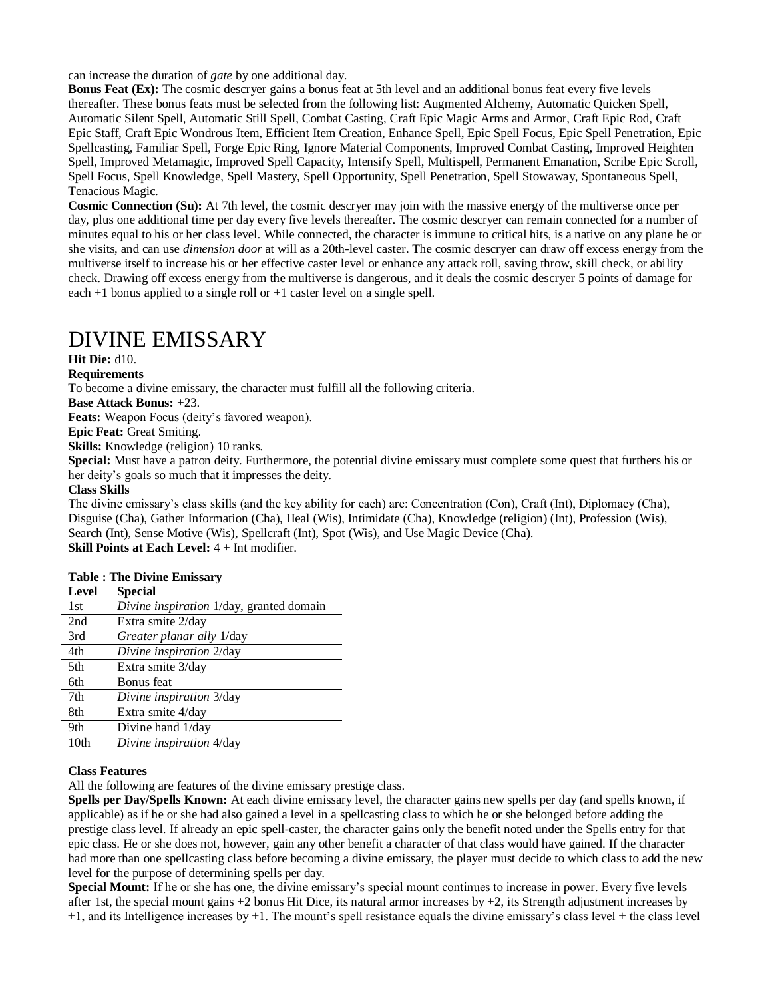can increase the duration of *gate* by one additional day.

**Bonus Feat (Ex):** The cosmic descryer gains a bonus feat at 5th level and an additional bonus feat every five levels thereafter. These bonus feats must be selected from the following list: Augmented Alchemy, Automatic Quicken Spell, Automatic Silent Spell, Automatic Still Spell, Combat Casting, Craft Epic Magic Arms and Armor, Craft Epic Rod, Craft Epic Staff, Craft Epic Wondrous Item, Efficient Item Creation, Enhance Spell, Epic Spell Focus, Epic Spell Penetration, Epic Spellcasting, Familiar Spell, Forge Epic Ring, Ignore Material Components, Improved Combat Casting, Improved Heighten Spell, Improved Metamagic, Improved Spell Capacity, Intensify Spell, Multispell, Permanent Emanation, Scribe Epic Scroll, Spell Focus, Spell Knowledge, Spell Mastery, Spell Opportunity, Spell Penetration, Spell Stowaway, Spontaneous Spell, Tenacious Magic.

**Cosmic Connection (Su):** At 7th level, the cosmic descryer may join with the massive energy of the multiverse once per day, plus one additional time per day every five levels thereafter. The cosmic descryer can remain connected for a number of minutes equal to his or her class level. While connected, the character is immune to critical hits, is a native on any plane he or she visits, and can use *dimension door* at will as a 20th-level caster. The cosmic descryer can draw off excess energy from the multiverse itself to increase his or her effective caster level or enhance any attack roll, saving throw, skill check, or ability check. Drawing off excess energy from the multiverse is dangerous, and it deals the cosmic descryer 5 points of damage for each +1 bonus applied to a single roll or +1 caster level on a single spell.

## DIVINE EMISSARY

**Hit Die:** d10.

### **Requirements**

To become a divine emissary, the character must fulfill all the following criteria.

**Base Attack Bonus:** +23.

**Feats:** Weapon Focus (deity's favored weapon).

**Epic Feat:** Great Smiting.

**Skills:** Knowledge (religion) 10 ranks.

**Special:** Must have a patron deity. Furthermore, the potential divine emissary must complete some quest that furthers his or her deity's goals so much that it impresses the deity.

### **Class Skills**

The divine emissary's class skills (and the key ability for each) are: Concentration (Con), Craft (Int), Diplomacy (Cha), Disguise (Cha), Gather Information (Cha), Heal (Wis), Intimidate (Cha), Knowledge (religion) (Int), Profession (Wis), Search (Int), Sense Motive (Wis), Spellcraft (Int), Spot (Wis), and Use Magic Device (Cha). **Skill Points at Each Level:** 4 + Int modifier.

#### **Table : The Divine Emissary**

| <b>Level</b>             | <b>Special</b>                           |
|--------------------------|------------------------------------------|
| 1st                      | Divine inspiration 1/day, granted domain |
| 2nd                      | Extra smite 2/day                        |
| 3rd                      | <i>Greater planar ally 1/day</i>         |
| 4th                      | Divine inspiration 2/day                 |
| 5th                      | Extra smite 3/day                        |
| 6th                      | Bonus feat                               |
| 7th                      | Divine inspiration 3/day                 |
| 8th                      | Extra smite 4/day                        |
| 9th                      | Divine hand 1/day                        |
| $1$ $\Omega$ + $\Lambda$ | $Divino$ incrination $A/dov$             |

10th *Divine inspiration* 4/day

#### **Class Features**

All the following are features of the divine emissary prestige class.

**Spells per Day/Spells Known:** At each divine emissary level, the character gains new spells per day (and spells known, if applicable) as if he or she had also gained a level in a spellcasting class to which he or she belonged before adding the prestige class level. If already an epic spell-caster, the character gains only the benefit noted under the Spells entry for that epic class. He or she does not, however, gain any other benefit a character of that class would have gained. If the character had more than one spellcasting class before becoming a divine emissary, the player must decide to which class to add the new level for the purpose of determining spells per day.

**Special Mount:** If he or she has one, the divine emissary's special mount continues to increase in power. Every five levels after 1st, the special mount gains  $+2$  bonus Hit Dice, its natural armor increases by  $+2$ , its Strength adjustment increases by  $+1$ , and its Intelligence increases by  $+1$ . The mount's spell resistance equals the divine emissary's class level  $+$  the class level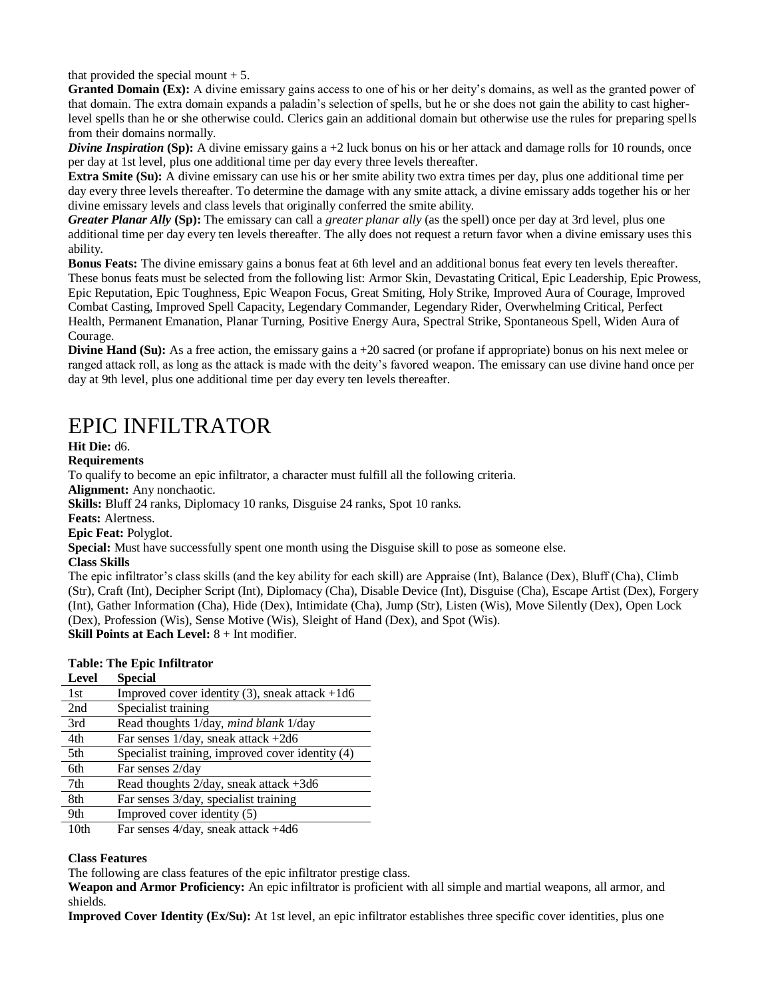that provided the special mount  $+ 5$ .

**Granted Domain (Ex):** A divine emissary gains access to one of his or her deity's domains, as well as the granted power of that domain. The extra domain expands a paladin's selection of spells, but he or she does not gain the ability to cast higherlevel spells than he or she otherwise could. Clerics gain an additional domain but otherwise use the rules for preparing spells from their domains normally.

*Divine Inspiration* (Sp): A divine emissary gains  $a + 2$  luck bonus on his or her attack and damage rolls for 10 rounds, once per day at 1st level, plus one additional time per day every three levels thereafter.

**Extra Smite (Su):** A divine emissary can use his or her smite ability two extra times per day, plus one additional time per day every three levels thereafter. To determine the damage with any smite attack, a divine emissary adds together his or her divine emissary levels and class levels that originally conferred the smite ability.

*Greater Planar Ally* **(Sp):** The emissary can call a *greater planar ally* (as the spell) once per day at 3rd level, plus one additional time per day every ten levels thereafter. The ally does not request a return favor when a divine emissary uses this ability.

**Bonus Feats:** The divine emissary gains a bonus feat at 6th level and an additional bonus feat every ten levels thereafter. These bonus feats must be selected from the following list: Armor Skin, Devastating Critical, Epic Leadership, Epic Prowess, Epic Reputation, Epic Toughness, Epic Weapon Focus, Great Smiting, Holy Strike, Improved Aura of Courage, Improved Combat Casting, Improved Spell Capacity, Legendary Commander, Legendary Rider, Overwhelming Critical, Perfect Health, Permanent Emanation, Planar Turning, Positive Energy Aura, Spectral Strike, Spontaneous Spell, Widen Aura of Courage.

**Divine Hand (Su):** As a free action, the emissary gains a +20 sacred (or profane if appropriate) bonus on his next melee or ranged attack roll, as long as the attack is made with the deity's favored weapon. The emissary can use divine hand once per day at 9th level, plus one additional time per day every ten levels thereafter.

## EPIC INFILTRATOR

**Hit Die:** d6.

**Requirements**

To qualify to become an epic infiltrator, a character must fulfill all the following criteria.

**Alignment:** Any nonchaotic.

**Skills:** Bluff 24 ranks, Diplomacy 10 ranks, Disguise 24 ranks, Spot 10 ranks.

**Feats:** Alertness.

**Epic Feat:** Polyglot.

**Special:** Must have successfully spent one month using the Disguise skill to pose as someone else.

### **Class Skills**

The epic infiltrator's class skills (and the key ability for each skill) are Appraise (Int), Balance (Dex), Bluff (Cha), Climb (Str), Craft (Int), Decipher Script (Int), Diplomacy (Cha), Disable Device (Int), Disguise (Cha), Escape Artist (Dex), Forgery (Int), Gather Information (Cha), Hide (Dex), Intimidate (Cha), Jump (Str), Listen (Wis), Move Silently (Dex), Open Lock (Dex), Profession (Wis), Sense Motive (Wis), Sleight of Hand (Dex), and Spot (Wis).

**Skill Points at Each Level:** 8 + Int modifier.

### **Table: The Epic Infiltrator**

| <b>Level</b>     | <b>Special</b>                                   |
|------------------|--------------------------------------------------|
| 1st              | Improved cover identity (3), sneak attack $+1d6$ |
| 2nd              | Specialist training                              |
| 3rd              | Read thoughts 1/day, mind blank 1/day            |
| 4th              | Far senses $1/day$ , sneak attack $+2d6$         |
| 5th              | Specialist training, improved cover identity (4) |
| 6th              | Far senses 2/day                                 |
| 7th              | Read thoughts $2$ /day, sneak attack +3d6        |
| 8th              | Far senses 3/day, specialist training            |
| 9th              | Improved cover identity (5)                      |
| 10 <sub>th</sub> | Far senses $4$ /day, sneak attack +4d6           |

### **Class Features**

The following are class features of the epic infiltrator prestige class.

**Weapon and Armor Proficiency:** An epic infiltrator is proficient with all simple and martial weapons, all armor, and shields.

**Improved Cover Identity (Ex/Su):** At 1st level, an epic infiltrator establishes three specific cover identities, plus one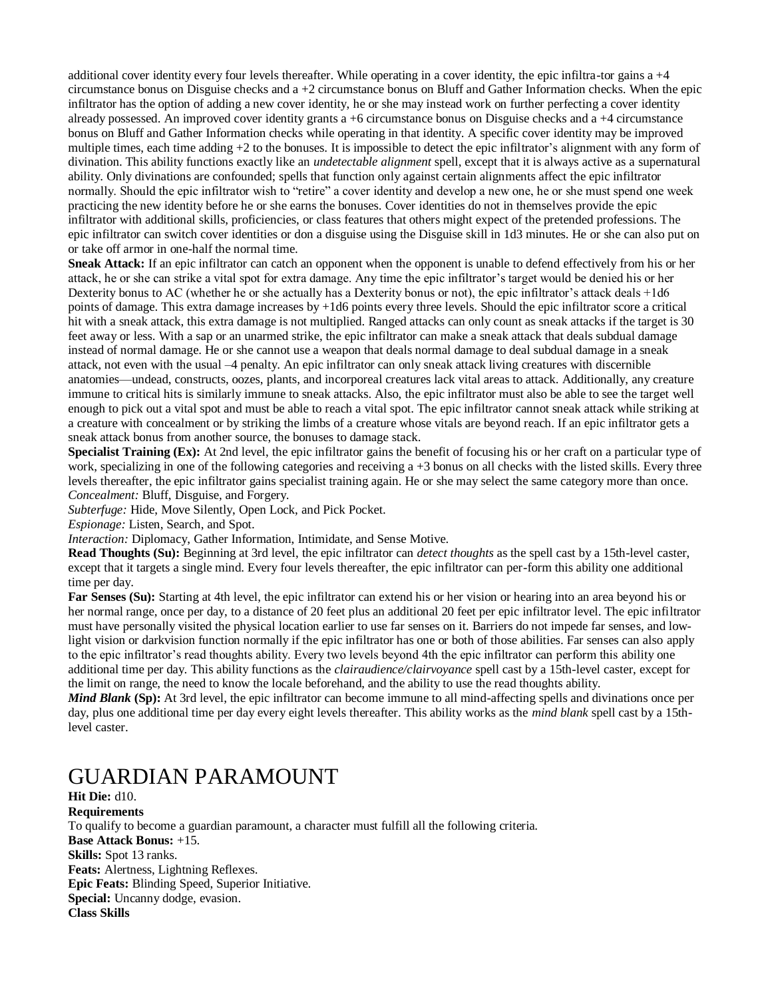additional cover identity every four levels thereafter. While operating in a cover identity, the epic infiltra-tor gains a +4 circumstance bonus on Disguise checks and  $a + 2$  circumstance bonus on Bluff and Gather Information checks. When the epic infiltrator has the option of adding a new cover identity, he or she may instead work on further perfecting a cover identity already possessed. An improved cover identity grants  $a + 6$  circumstance bonus on Disguise checks and  $a + 4$  circumstance bonus on Bluff and Gather Information checks while operating in that identity. A specific cover identity may be improved multiple times, each time adding +2 to the bonuses. It is impossible to detect the epic infiltrator's alignment with any form of divination. This ability functions exactly like an *undetectable alignment* spell, except that it is always active as a supernatural ability. Only divinations are confounded; spells that function only against certain alignments affect the epic infiltrator normally. Should the epic infiltrator wish to "retire" a cover identity and develop a new one, he or she must spend one week practicing the new identity before he or she earns the bonuses. Cover identities do not in themselves provide the epic infiltrator with additional skills, proficiencies, or class features that others might expect of the pretended professions. The epic infiltrator can switch cover identities or don a disguise using the Disguise skill in 1d3 minutes. He or she can also put on or take off armor in one-half the normal time.

**Sneak Attack:** If an epic infiltrator can catch an opponent when the opponent is unable to defend effectively from his or her attack, he or she can strike a vital spot for extra damage. Any time the epic infiltrator's target would be denied his or her Dexterity bonus to AC (whether he or she actually has a Dexterity bonus or not), the epic infiltrator's attack deals +1d6 points of damage. This extra damage increases by +1d6 points every three levels. Should the epic infiltrator score a critical hit with a sneak attack, this extra damage is not multiplied. Ranged attacks can only count as sneak attacks if the target is 30 feet away or less. With a sap or an unarmed strike, the epic infiltrator can make a sneak attack that deals subdual damage instead of normal damage. He or she cannot use a weapon that deals normal damage to deal subdual damage in a sneak attack, not even with the usual –4 penalty. An epic infiltrator can only sneak attack living creatures with discernible anatomies—undead, constructs, oozes, plants, and incorporeal creatures lack vital areas to attack. Additionally, any creature immune to critical hits is similarly immune to sneak attacks. Also, the epic infiltrator must also be able to see the target well enough to pick out a vital spot and must be able to reach a vital spot. The epic infiltrator cannot sneak attack while striking at a creature with concealment or by striking the limbs of a creature whose vitals are beyond reach. If an epic infiltrator gets a sneak attack bonus from another source, the bonuses to damage stack.

**Specialist Training (Ex):** At 2nd level, the epic infiltrator gains the benefit of focusing his or her craft on a particular type of work, specializing in one of the following categories and receiving a +3 bonus on all checks with the listed skills. Every three levels thereafter, the epic infiltrator gains specialist training again. He or she may select the same category more than once. *Concealment:* Bluff, Disguise, and Forgery.

*Subterfuge:* Hide, Move Silently, Open Lock, and Pick Pocket.

*Espionage:* Listen, Search, and Spot.

*Interaction:* Diplomacy, Gather Information, Intimidate, and Sense Motive.

**Read Thoughts (Su):** Beginning at 3rd level, the epic infiltrator can *detect thoughts* as the spell cast by a 15th-level caster, except that it targets a single mind. Every four levels thereafter, the epic infiltrator can per-form this ability one additional time per day.

**Far Senses (Su):** Starting at 4th level, the epic infiltrator can extend his or her vision or hearing into an area beyond his or her normal range, once per day, to a distance of 20 feet plus an additional 20 feet per epic infiltrator level. The epic infiltrator must have personally visited the physical location earlier to use far senses on it. Barriers do not impede far senses, and lowlight vision or darkvision function normally if the epic infiltrator has one or both of those abilities. Far senses can also apply to the epic infiltrator's read thoughts ability. Every two levels beyond 4th the epic infiltrator can perform this ability one additional time per day. This ability functions as the *clairaudience/clairvoyance* spell cast by a 15th-level caster, except for the limit on range, the need to know the locale beforehand, and the ability to use the read thoughts ability.

*Mind Blank* **(Sp):** At 3rd level, the epic infiltrator can become immune to all mind-affecting spells and divinations once per day, plus one additional time per day every eight levels thereafter. This ability works as the *mind blank* spell cast by a 15thlevel caster.

## GUARDIAN PARAMOUNT

**Hit Die:** d10.

**Requirements** To qualify to become a guardian paramount, a character must fulfill all the following criteria. **Base Attack Bonus:** +15. **Skills:** Spot 13 ranks. **Feats:** Alertness, Lightning Reflexes. **Epic Feats:** Blinding Speed, Superior Initiative. **Special:** Uncanny dodge, evasion. **Class Skills**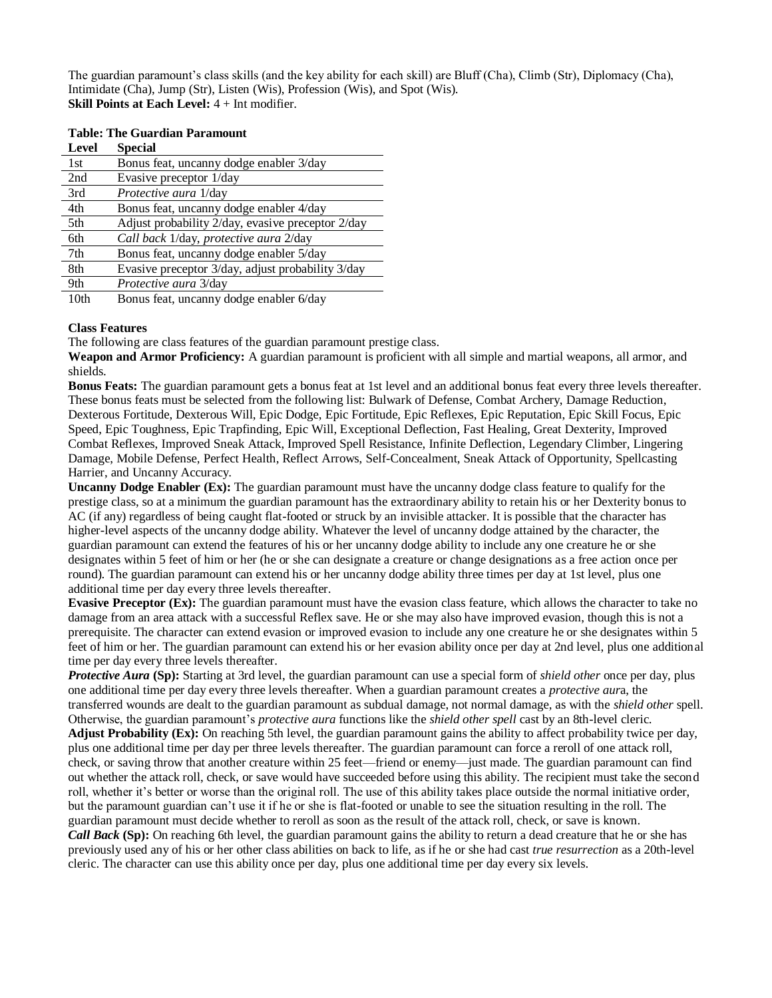The guardian paramount's class skills (and the key ability for each skill) are Bluff (Cha), Climb (Str), Diplomacy (Cha), Intimidate (Cha), Jump (Str), Listen (Wis), Profession (Wis), and Spot (Wis). **Skill Points at Each Level:** 4 + Int modifier.

| Level            | <b>Special</b>                                    |
|------------------|---------------------------------------------------|
| 1st              | Bonus feat, uncanny dodge enabler 3/day           |
| 2nd              | Evasive preceptor 1/day                           |
| 3rd              | Protective aura 1/day                             |
| 4th              | Bonus feat, uncanny dodge enabler 4/day           |
| 5th              | Adjust probability 2/day, evasive preceptor 2/day |
| 6th              | Call back 1/day, protective aura 2/day            |
| 7th              | Bonus feat, uncanny dodge enabler 5/day           |
| 8th              | Evasive preceptor 3/day, adjust probability 3/day |
| 9th              | Protective aura 3/day                             |
| 10 <sub>th</sub> | Bonus feat, uncanny dodge enabler 6/day           |

### **Table: The Guardian Paramount**

### **Class Features**

The following are class features of the guardian paramount prestige class.

**Weapon and Armor Proficiency:** A guardian paramount is proficient with all simple and martial weapons, all armor, and shields.

**Bonus Feats:** The guardian paramount gets a bonus feat at 1st level and an additional bonus feat every three levels thereafter. These bonus feats must be selected from the following list: Bulwark of Defense, Combat Archery, Damage Reduction, Dexterous Fortitude, Dexterous Will, Epic Dodge, Epic Fortitude, Epic Reflexes, Epic Reputation, Epic Skill Focus, Epic Speed, Epic Toughness, Epic Trapfinding, Epic Will, Exceptional Deflection, Fast Healing, Great Dexterity, Improved Combat Reflexes, Improved Sneak Attack, Improved Spell Resistance, Infinite Deflection, Legendary Climber, Lingering Damage, Mobile Defense, Perfect Health, Reflect Arrows, Self-Concealment, Sneak Attack of Opportunity, Spellcasting Harrier, and Uncanny Accuracy.

**Uncanny Dodge Enabler (Ex):** The guardian paramount must have the uncanny dodge class feature to qualify for the prestige class, so at a minimum the guardian paramount has the extraordinary ability to retain his or her Dexterity bonus to AC (if any) regardless of being caught flat-footed or struck by an invisible attacker. It is possible that the character has higher-level aspects of the uncanny dodge ability. Whatever the level of uncanny dodge attained by the character, the guardian paramount can extend the features of his or her uncanny dodge ability to include any one creature he or she designates within 5 feet of him or her (he or she can designate a creature or change designations as a free action once per round). The guardian paramount can extend his or her uncanny dodge ability three times per day at 1st level, plus one additional time per day every three levels thereafter.

**Evasive Preceptor (Ex):** The guardian paramount must have the evasion class feature, which allows the character to take no damage from an area attack with a successful Reflex save. He or she may also have improved evasion, though this is not a prerequisite. The character can extend evasion or improved evasion to include any one creature he or she designates within 5 feet of him or her. The guardian paramount can extend his or her evasion ability once per day at 2nd level, plus one additional time per day every three levels thereafter.

*Protective Aura* **(Sp):** Starting at 3rd level, the guardian paramount can use a special form of *shield other* once per day, plus one additional time per day every three levels thereafter. When a guardian paramount creates a *protective aur*a, the transferred wounds are dealt to the guardian paramount as subdual damage, not normal damage, as with the *shield other* spell. Otherwise, the guardian paramount's *protective aura* functions like the *shield other spell* cast by an 8th-level cleric.

**Adjust Probability (Ex):** On reaching 5th level, the guardian paramount gains the ability to affect probability twice per day, plus one additional time per day per three levels thereafter. The guardian paramount can force a reroll of one attack roll, check, or saving throw that another creature within 25 feet—friend or enemy—just made. The guardian paramount can find out whether the attack roll, check, or save would have succeeded before using this ability. The recipient must take the second roll, whether it's better or worse than the original roll. The use of this ability takes place outside the normal initiative order, but the paramount guardian can't use it if he or she is flat-footed or unable to see the situation resulting in the roll. The guardian paramount must decide whether to reroll as soon as the result of the attack roll, check, or save is known.

*Call Back* (Sp): On reaching 6th level, the guardian paramount gains the ability to return a dead creature that he or she has previously used any of his or her other class abilities on back to life, as if he or she had cast *true resurrection* as a 20th-level cleric. The character can use this ability once per day, plus one additional time per day every six levels.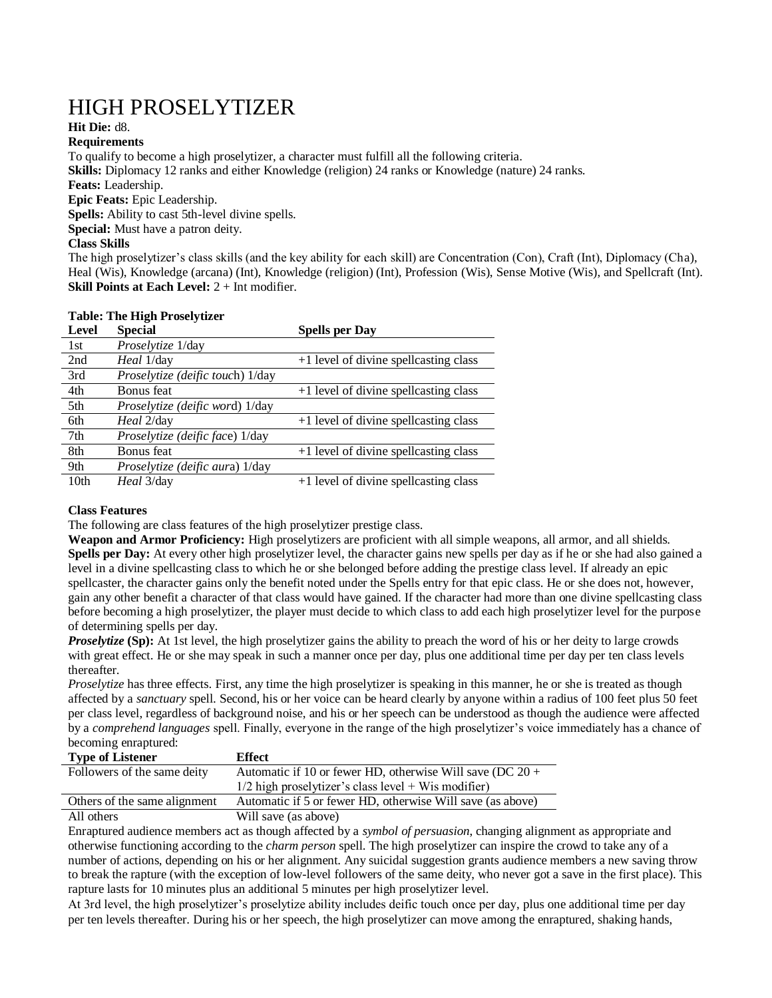# HIGH PROSELYTIZER

### **Hit Die:** d8.

### **Requirements**

To qualify to become a high proselytizer, a character must fulfill all the following criteria. **Skills:** Diplomacy 12 ranks and either Knowledge (religion) 24 ranks or Knowledge (nature) 24 ranks. **Feats:** Leadership. **Epic Feats:** Epic Leadership. **Spells:** Ability to cast 5th-level divine spells. **Special:** Must have a patron deity. **Class Skills**

The high proselytizer's class skills (and the key ability for each skill) are Concentration (Con), Craft (Int), Diplomacy (Cha), Heal (Wis), Knowledge (arcana) (Int), Knowledge (religion) (Int), Profession (Wis), Sense Motive (Wis), and Spellcraft (Int). **Skill Points at Each Level:**  $2 + \text{Int modifier.}$ 

### **Table: The High Proselytizer**

| Level            | <b>Special</b>                         | <b>Spells per Day</b>                 |
|------------------|----------------------------------------|---------------------------------------|
| 1st              | Proselytize 1/day                      |                                       |
| 2nd              | <i>Heal</i> 1/day                      | +1 level of divine spellcasting class |
| 3rd              | Proselytize (deific touch) 1/day       |                                       |
| 4th              | Bonus feat                             | +1 level of divine spellcasting class |
| 5th              | Proselytize (deific word) 1/day        |                                       |
| 6th              | <i>Heal</i> 2/day                      | +1 level of divine spellcasting class |
| 7 <sub>th</sub>  | Proselytize (deific face) 1/day        |                                       |
| 8th              | Bonus feat                             | +1 level of divine spellcasting class |
| 9th              | <i>Proselytize (deific aura)</i> 1/day |                                       |
| 10 <sub>th</sub> | <i>Heal</i> 3/day                      | +1 level of divine spellcasting class |

### **Class Features**

The following are class features of the high proselytizer prestige class.

**Weapon and Armor Proficiency:** High proselytizers are proficient with all simple weapons, all armor, and all shields. **Spells per Day:** At every other high proselytizer level, the character gains new spells per day as if he or she had also gained a level in a divine spellcasting class to which he or she belonged before adding the prestige class level. If already an epic spellcaster, the character gains only the benefit noted under the Spells entry for that epic class. He or she does not, however, gain any other benefit a character of that class would have gained. If the character had more than one divine spellcasting class before becoming a high proselytizer, the player must decide to which class to add each high proselytizer level for the purpose of determining spells per day.

*Proselytize* (Sp): At 1st level, the high proselytizer gains the ability to preach the word of his or her deity to large crowds with great effect. He or she may speak in such a manner once per day, plus one additional time per day per ten class levels thereafter.

*Proselytize* has three effects. First, any time the high proselytizer is speaking in this manner, he or she is treated as though affected by a *sanctuary* spell. Second, his or her voice can be heard clearly by anyone within a radius of 100 feet plus 50 feet per class level, regardless of background noise, and his or her speech can be understood as though the audience were affected by a *comprehend languages* spell. Finally, everyone in the range of the high proselytizer's voice immediately has a chance of becoming enraptured:

| <b>Type of Listener</b>      | <b>Effect</b>                                               |
|------------------------------|-------------------------------------------------------------|
| Followers of the same deity  | Automatic if 10 or fewer HD, otherwise Will save (DC $20 +$ |
|                              | $1/2$ high proselytizer's class level + Wis modifier)       |
| Others of the same alignment | Automatic if 5 or fewer HD, otherwise Will save (as above)  |
| All others                   | Will save (as above)                                        |

Enraptured audience members act as though affected by a *symbol of persuasion*, changing alignment as appropriate and otherwise functioning according to the *charm person* spell. The high proselytizer can inspire the crowd to take any of a number of actions, depending on his or her alignment. Any suicidal suggestion grants audience members a new saving throw to break the rapture (with the exception of low-level followers of the same deity, who never got a save in the first place). This rapture lasts for 10 minutes plus an additional 5 minutes per high proselytizer level.

At 3rd level, the high proselytizer's proselytize ability includes deific touch once per day, plus one additional time per day per ten levels thereafter. During his or her speech, the high proselytizer can move among the enraptured, shaking hands,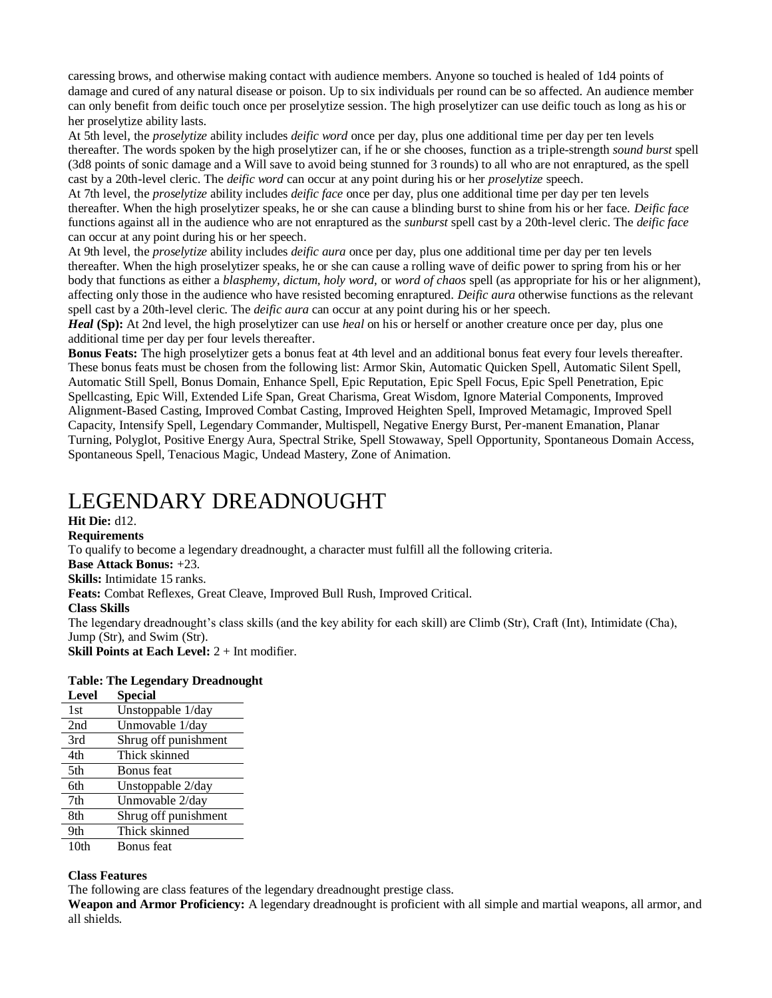caressing brows, and otherwise making contact with audience members. Anyone so touched is healed of 1d4 points of damage and cured of any natural disease or poison. Up to six individuals per round can be so affected. An audience member can only benefit from deific touch once per proselytize session. The high proselytizer can use deific touch as long as his or her proselytize ability lasts.

At 5th level, the *proselytize* ability includes *deific word* once per day, plus one additional time per day per ten levels thereafter. The words spoken by the high proselytizer can, if he or she chooses, function as a triple-strength *sound burst* spell (3d8 points of sonic damage and a Will save to avoid being stunned for 3 rounds) to all who are not enraptured, as the spell cast by a 20th-level cleric. The *deific word* can occur at any point during his or her *proselytize* speech.

At 7th level, the *proselytize* ability includes *deific face* once per day, plus one additional time per day per ten levels thereafter. When the high proselytizer speaks, he or she can cause a blinding burst to shine from his or her face. *Deific face*  functions against all in the audience who are not enraptured as the *sunburst* spell cast by a 20th-level cleric. The *deific face*  can occur at any point during his or her speech.

At 9th level, the *proselytize* ability includes *deific aura* once per day, plus one additional time per day per ten levels thereafter. When the high proselytizer speaks, he or she can cause a rolling wave of deific power to spring from his or her body that functions as either a *blasphemy, dictum, holy word,* or *word of chaos* spell (as appropriate for his or her alignment), affecting only those in the audience who have resisted becoming enraptured. *Deific aura* otherwise functions as the relevant spell cast by a 20th-level cleric. The *deific aura* can occur at any point during his or her speech.

*Heal* (Sp): At 2nd level, the high proselytizer can use *heal* on his or herself or another creature once per day, plus one additional time per day per four levels thereafter.

**Bonus Feats:** The high proselytizer gets a bonus feat at 4th level and an additional bonus feat every four levels thereafter. These bonus feats must be chosen from the following list: Armor Skin, Automatic Quicken Spell, Automatic Silent Spell, Automatic Still Spell, Bonus Domain, Enhance Spell, Epic Reputation, Epic Spell Focus, Epic Spell Penetration, Epic Spellcasting, Epic Will, Extended Life Span, Great Charisma, Great Wisdom, Ignore Material Components, Improved Alignment-Based Casting, Improved Combat Casting, Improved Heighten Spell, Improved Metamagic, Improved Spell Capacity, Intensify Spell, Legendary Commander, Multispell, Negative Energy Burst, Per-manent Emanation, Planar Turning, Polyglot, Positive Energy Aura, Spectral Strike, Spell Stowaway, Spell Opportunity, Spontaneous Domain Access, Spontaneous Spell, Tenacious Magic, Undead Mastery, Zone of Animation.

## LEGENDARY DREADNOUGHT

### **Hit Die:** d12.

**Requirements**

To qualify to become a legendary dreadnought, a character must fulfill all the following criteria.

**Base Attack Bonus:** +23.

**Skills:** Intimidate 15 ranks.

**Feats:** Combat Reflexes, Great Cleave, Improved Bull Rush, Improved Critical.

**Class Skills**

The legendary dreadnought's class skills (and the key ability for each skill) are Climb (Str), Craft (Int), Intimidate (Cha), Jump (Str), and Swim (Str).

**Skill Points at Each Level:**  $2 +$  Int modifier.

#### **Table: The Legendary Dreadnought Level Special**

| Level           | Special              |
|-----------------|----------------------|
| 1st             | Unstoppable 1/day    |
| 2nd             | Unmovable 1/day      |
| 3rd             | Shrug off punishment |
| 4th             | Thick skinned        |
| 5th             | Bonus feat           |
| 6th             | Unstoppable 2/day    |
| 7 <sub>th</sub> | Unmovable 2/day      |
| 8th             | Shrug off punishment |
| 9th             | Thick skinned        |
| 10th            | Bonus feat           |

### **Class Features**

The following are class features of the legendary dreadnought prestige class.

**Weapon and Armor Proficiency:** A legendary dreadnought is proficient with all simple and martial weapons, all armor, and all shields.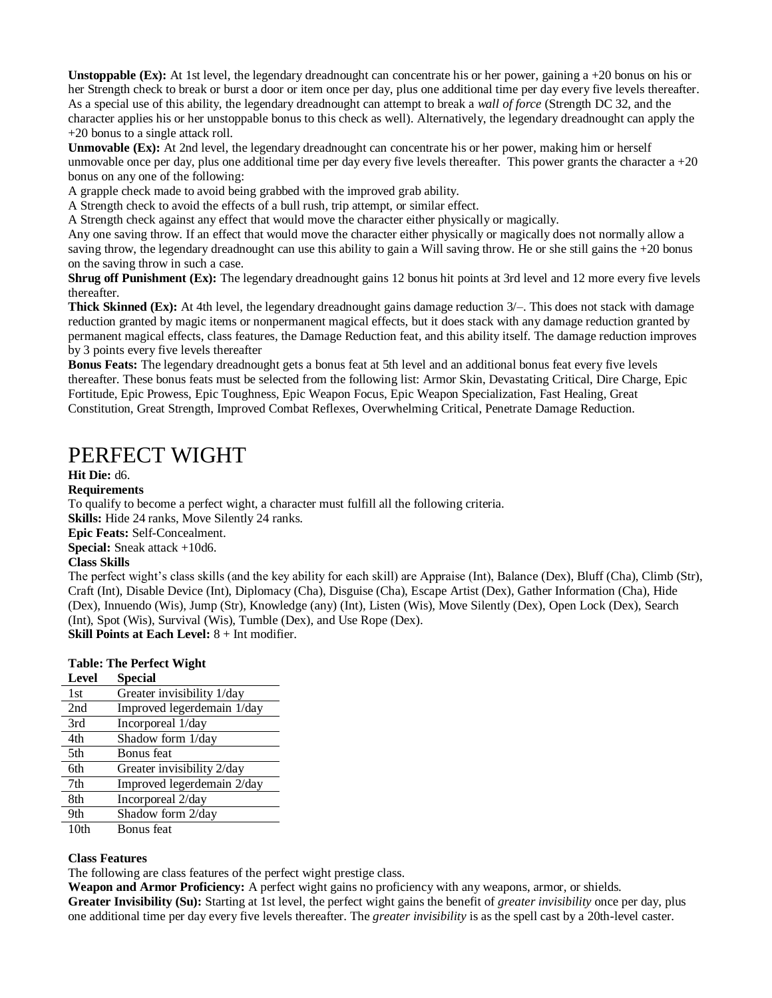**Unstoppable (Ex):** At 1st level, the legendary dreadnought can concentrate his or her power, gaining a  $+20$  bonus on his or her Strength check to break or burst a door or item once per day, plus one additional time per day every five levels thereafter. As a special use of this ability, the legendary dreadnought can attempt to break a *wall of force* (Strength DC 32, and the character applies his or her unstoppable bonus to this check as well). Alternatively, the legendary dreadnought can apply the +20 bonus to a single attack roll.

**Unmovable (Ex):** At 2nd level, the legendary dreadnought can concentrate his or her power, making him or herself unmovable once per day, plus one additional time per day every five levels thereafter. This power grants the character a  $+20$ bonus on any one of the following:

A grapple check made to avoid being grabbed with the improved grab ability.

A Strength check to avoid the effects of a bull rush, trip attempt, or similar effect.

A Strength check against any effect that would move the character either physically or magically.

Any one saving throw. If an effect that would move the character either physically or magically does not normally allow a saving throw, the legendary dreadnought can use this ability to gain a Will saving throw. He or she still gains the +20 bonus on the saving throw in such a case.

**Shrug off Punishment (Ex):** The legendary dreadnought gains 12 bonus hit points at 3rd level and 12 more every five levels thereafter.

**Thick Skinned (Ex):** At 4th level, the legendary dreadnought gains damage reduction  $3/-$ . This does not stack with damage reduction granted by magic items or nonpermanent magical effects, but it does stack with any damage reduction granted by permanent magical effects, class features, the Damage Reduction feat, and this ability itself. The damage reduction improves by 3 points every five levels thereafter

**Bonus Feats:** The legendary dreadnought gets a bonus feat at 5th level and an additional bonus feat every five levels thereafter. These bonus feats must be selected from the following list: Armor Skin, Devastating Critical, Dire Charge, Epic Fortitude, Epic Prowess, Epic Toughness, Epic Weapon Focus, Epic Weapon Specialization, Fast Healing, Great Constitution, Great Strength, Improved Combat Reflexes, Overwhelming Critical, Penetrate Damage Reduction.

### PERFECT WIGHT

**Hit Die:** d6.

#### **Requirements**

To qualify to become a perfect wight, a character must fulfill all the following criteria.

**Skills:** Hide 24 ranks, Move Silently 24 ranks.

**Epic Feats:** Self-Concealment.

**Special:** Sneak attack +10d6.

### **Class Skills**

The perfect wight's class skills (and the key ability for each skill) are Appraise (Int), Balance (Dex), Bluff (Cha), Climb (Str), Craft (Int), Disable Device (Int), Diplomacy (Cha), Disguise (Cha), Escape Artist (Dex), Gather Information (Cha), Hide (Dex), Innuendo (Wis), Jump (Str), Knowledge (any) (Int), Listen (Wis), Move Silently (Dex), Open Lock (Dex), Search (Int), Spot (Wis), Survival (Wis), Tumble (Dex), and Use Rope (Dex).

**Skill Points at Each Level:** 8 + Int modifier.

|       | <b>Table: The Perfect Wight</b> |  |
|-------|---------------------------------|--|
| Level | <b>Special</b>                  |  |

| uv vu | орсски                     |
|-------|----------------------------|
| 1st   | Greater invisibility 1/day |
| 2nd   | Improved legerdemain 1/day |
| 3rd   | Incorporeal 1/day          |
| 4th   | Shadow form 1/day          |
| 5th   | Bonus feat                 |
| 6th   | Greater invisibility 2/day |
| 7th   | Improved legerdemain 2/day |
| 8th   | Incorporeal 2/day          |
| 9th   | Shadow form 2/day          |
| 10th  | Bonus feat                 |

#### **Class Features**

The following are class features of the perfect wight prestige class.

**Weapon and Armor Proficiency:** A perfect wight gains no proficiency with any weapons, armor, or shields. **Greater Invisibility (Su):** Starting at 1st level, the perfect wight gains the benefit of *greater invisibility* once per day, plus one additional time per day every five levels thereafter. The *greater invisibility* is as the spell cast by a 20th-level caster.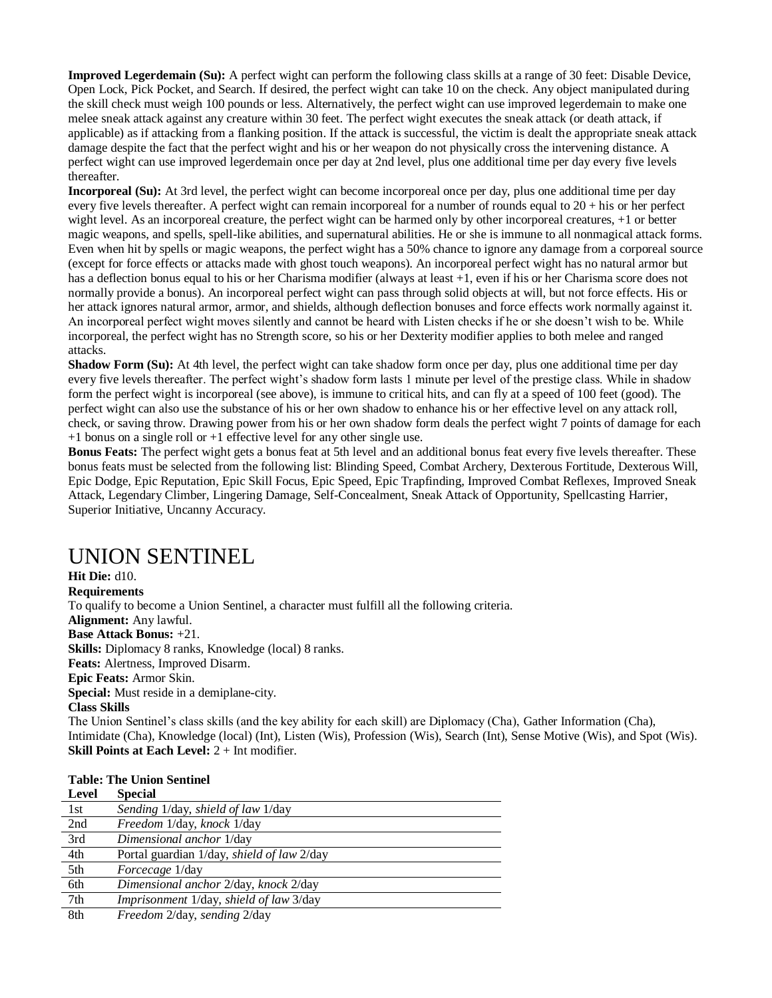**Improved Legerdemain (Su):** A perfect wight can perform the following class skills at a range of 30 feet: Disable Device, Open Lock, Pick Pocket, and Search. If desired, the perfect wight can take 10 on the check. Any object manipulated during the skill check must weigh 100 pounds or less. Alternatively, the perfect wight can use improved legerdemain to make one melee sneak attack against any creature within 30 feet. The perfect wight executes the sneak attack (or death attack, if applicable) as if attacking from a flanking position. If the attack is successful, the victim is dealt the appropriate sneak attack damage despite the fact that the perfect wight and his or her weapon do not physically cross the intervening distance. A perfect wight can use improved legerdemain once per day at 2nd level, plus one additional time per day every five levels thereafter.

**Incorporeal (Su):** At 3rd level, the perfect wight can become incorporeal once per day, plus one additional time per day every five levels thereafter. A perfect wight can remain incorporeal for a number of rounds equal to 20 + his or her perfect wight level. As an incorporeal creature, the perfect wight can be harmed only by other incorporeal creatures, +1 or better magic weapons, and spells, spell-like abilities, and supernatural abilities. He or she is immune to all nonmagical attack forms. Even when hit by spells or magic weapons, the perfect wight has a 50% chance to ignore any damage from a corporeal source (except for force effects or attacks made with ghost touch weapons). An incorporeal perfect wight has no natural armor but has a deflection bonus equal to his or her Charisma modifier (always at least +1, even if his or her Charisma score does not normally provide a bonus). An incorporeal perfect wight can pass through solid objects at will, but not force effects. His or her attack ignores natural armor, armor, and shields, although deflection bonuses and force effects work normally against it. An incorporeal perfect wight moves silently and cannot be heard with Listen checks if he or she doesn't wish to be. While incorporeal, the perfect wight has no Strength score, so his or her Dexterity modifier applies to both melee and ranged attacks.

**Shadow Form (Su):** At 4th level, the perfect wight can take shadow form once per day, plus one additional time per day every five levels thereafter. The perfect wight's shadow form lasts 1 minute per level of the prestige class. While in shadow form the perfect wight is incorporeal (see above), is immune to critical hits, and can fly at a speed of 100 feet (good). The perfect wight can also use the substance of his or her own shadow to enhance his or her effective level on any attack roll, check, or saving throw. Drawing power from his or her own shadow form deals the perfect wight 7 points of damage for each +1 bonus on a single roll or +1 effective level for any other single use.

**Bonus Feats:** The perfect wight gets a bonus feat at 5th level and an additional bonus feat every five levels thereafter. These bonus feats must be selected from the following list: Blinding Speed, Combat Archery, Dexterous Fortitude, Dexterous Will, Epic Dodge, Epic Reputation, Epic Skill Focus, Epic Speed, Epic Trapfinding, Improved Combat Reflexes, Improved Sneak Attack, Legendary Climber, Lingering Damage, Self-Concealment, Sneak Attack of Opportunity, Spellcasting Harrier, Superior Initiative, Uncanny Accuracy.

## UNION SENTINEL

**Hit Die:** d10. **Requirements** To qualify to become a Union Sentinel, a character must fulfill all the following criteria. **Alignment:** Any lawful. **Base Attack Bonus:** +21. **Skills:** Diplomacy 8 ranks, Knowledge (local) 8 ranks. **Feats:** Alertness, Improved Disarm. **Epic Feats:** Armor Skin. **Special:** Must reside in a demiplane-city. **Class Skills**

The Union Sentinel's class skills (and the key ability for each skill) are Diplomacy (Cha), Gather Information (Cha), Intimidate (Cha), Knowledge (local) (Int), Listen (Wis), Profession (Wis), Search (Int), Sense Motive (Wis), and Spot (Wis). **Skill Points at Each Level:** 2 + Int modifier.

| Level | <b>Special</b>                                    |
|-------|---------------------------------------------------|
| 1st   | Sending 1/day, shield of law 1/day                |
| 2nd   | Freedom 1/day, knock 1/day                        |
| 3rd   | Dimensional anchor 1/day                          |
| 4th   | Portal guardian 1/day, <i>shield of law</i> 2/day |
| 5th   | <i>Forcecage</i> 1/day                            |
| 6th   | Dimensional anchor 2/day, knock 2/day             |
| 7th   | Imprisonment 1/day, shield of law 3/day           |
| 8th   | Freedom 2/day, sending 2/day                      |

### **Table: The Union Sentinel**